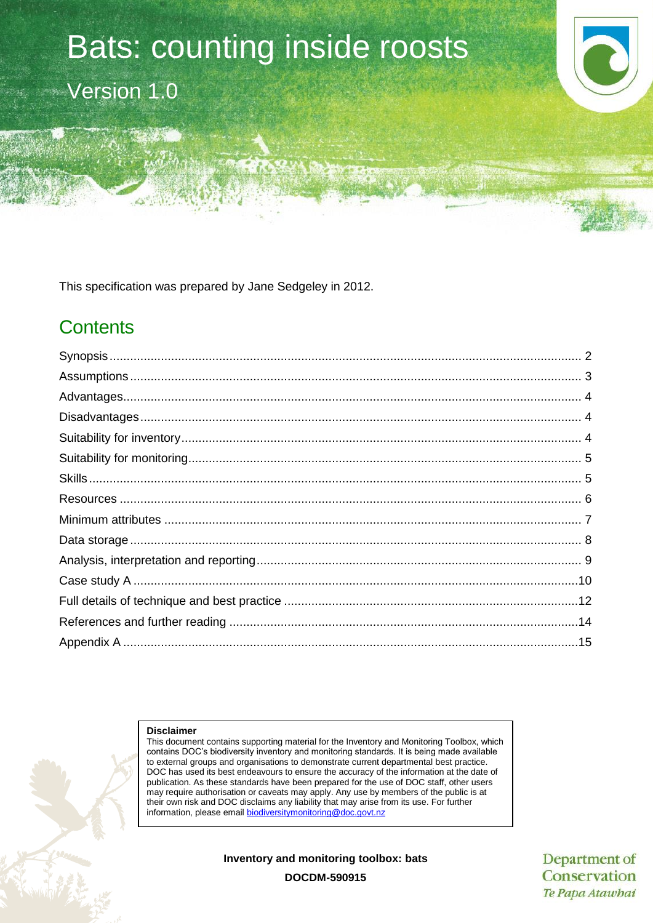# Bats: counting inside roosts Version 1.0

This specification was prepared by Jane Sedgeley in 2012.

# **Contents**

#### **Disclaimer**

This document contains supporting material for the Inventory and Monitoring Toolbox, which contains DOC's biodiversity inventory and monitoring standards. It is being made available to external groups and organisations to demonstrate current departmental best practice. DOC has used its best endeavours to ensure the accuracy of the information at the date of publication. As these standards have been prepared for the use of DOC staff, other users may require authorisation or caveats may apply. Any use by members of the public is at their own risk and DOC disclaims any liability that may arise from its use. For further information, please email [biodiversitymonitoring@doc.govt.nz](mailto:biodiversitymonitoring@doc.govt.nz)

**Inventory and monitoring toolbox: bats**

Department of Conservation Te Papa Atawhai

**DOCDM-590915**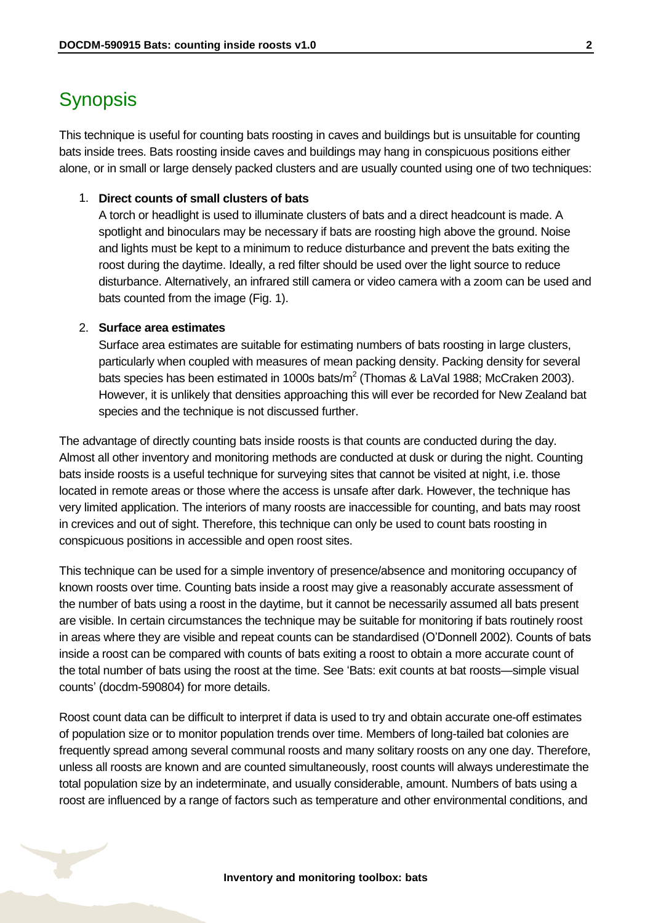# <span id="page-1-0"></span>**Synopsis**

This technique is useful for counting bats roosting in caves and buildings but is unsuitable for counting bats inside trees. Bats roosting inside caves and buildings may hang in conspicuous positions either alone, or in small or large densely packed clusters and are usually counted using one of two techniques:

#### 1. **Direct counts of small clusters of bats**

A torch or headlight is used to illuminate clusters of bats and a direct headcount is made. A spotlight and binoculars may be necessary if bats are roosting high above the ground. Noise and lights must be kept to a minimum to reduce disturbance and prevent the bats exiting the roost during the daytime. Ideally, a red filter should be used over the light source to reduce disturbance. Alternatively, an infrared still camera or video camera with a zoom can be used and bats counted from the image (Fig. 1).

#### 2. **Surface area estimates**

Surface area estimates are suitable for estimating numbers of bats roosting in large clusters, particularly when coupled with measures of mean packing density. Packing density for several bats species has been estimated in 1000s bats/m<sup>2</sup> (Thomas & LaVal 1988; McCraken 2003). However, it is unlikely that densities approaching this will ever be recorded for New Zealand bat species and the technique is not discussed further.

The advantage of directly counting bats inside roosts is that counts are conducted during the day. Almost all other inventory and monitoring methods are conducted at dusk or during the night. Counting bats inside roosts is a useful technique for surveying sites that cannot be visited at night, i.e. those located in remote areas or those where the access is unsafe after dark. However, the technique has very limited application. The interiors of many roosts are inaccessible for counting, and bats may roost in crevices and out of sight. Therefore, this technique can only be used to count bats roosting in conspicuous positions in accessible and open roost sites.

This technique can be used for a simple inventory of presence/absence and monitoring occupancy of known roosts over time. Counting bats inside a roost may give a reasonably accurate assessment of the number of bats using a roost in the daytime, but it cannot be necessarily assumed all bats present are visible. In certain circumstances the technique may be suitable for monitoring if bats routinely roost in areas where they are visible and repeat counts can be standardised (O'Donnell 2002). Counts of bats inside a roost can be compared with counts of bats exiting a roost to obtain a more accurate count of the total number of bats using the roost at the time. See 'Bats: exit counts at bat roosts—simple visual counts' (docdm-590804) for more details.

Roost count data can be difficult to interpret if data is used to try and obtain accurate one-off estimates of population size or to monitor population trends over time. Members of long-tailed bat colonies are frequently spread among several communal roosts and many solitary roosts on any one day. Therefore, unless all roosts are known and are counted simultaneously, roost counts will always underestimate the total population size by an indeterminate, and usually considerable, amount. Numbers of bats using a roost are influenced by a range of factors such as temperature and other environmental conditions, and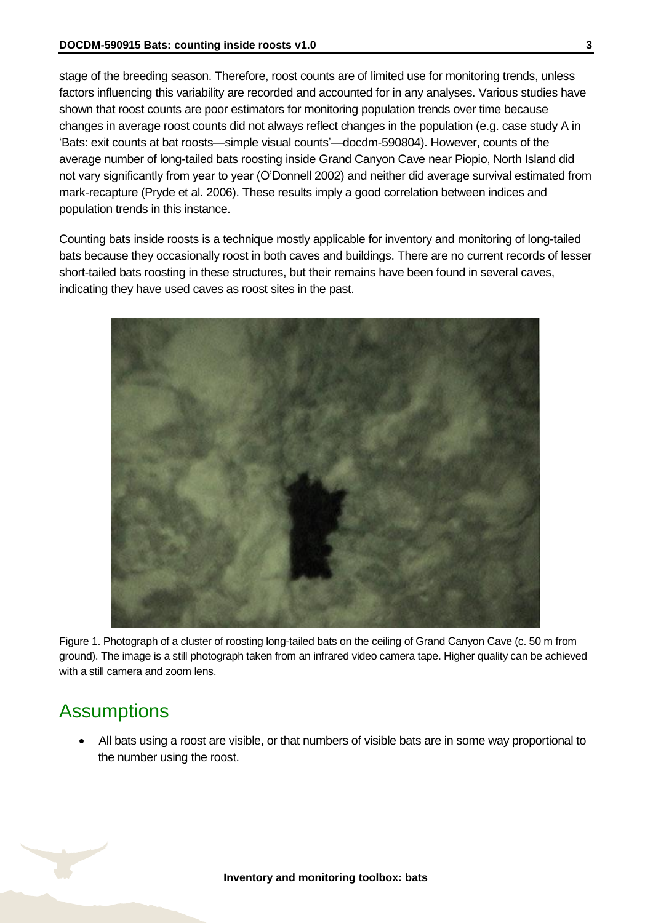stage of the breeding season. Therefore, roost counts are of limited use for monitoring trends, unless factors influencing this variability are recorded and accounted for in any analyses. Various studies have shown that roost counts are poor estimators for monitoring population trends over time because changes in average roost counts did not always reflect changes in the population (e.g. case study A in 'Bats: exit counts at bat roosts—simple visual counts'—docdm-590804). However, counts of the average number of long-tailed bats roosting inside Grand Canyon Cave near Piopio, North Island did not vary significantly from year to year (O'Donnell 2002) and neither did average survival estimated from mark-recapture (Pryde et al. 2006). These results imply a good correlation between indices and population trends in this instance.

Counting bats inside roosts is a technique mostly applicable for inventory and monitoring of long-tailed bats because they occasionally roost in both caves and buildings. There are no current records of lesser short-tailed bats roosting in these structures, but their remains have been found in several caves, indicating they have used caves as roost sites in the past.



Figure 1. Photograph of a cluster of roosting long-tailed bats on the ceiling of Grand Canyon Cave (c. 50 m from ground). The image is a still photograph taken from an infrared video camera tape. Higher quality can be achieved with a still camera and zoom lens.

# <span id="page-2-0"></span>**Assumptions**

 All bats using a roost are visible, or that numbers of visible bats are in some way proportional to the number using the roost.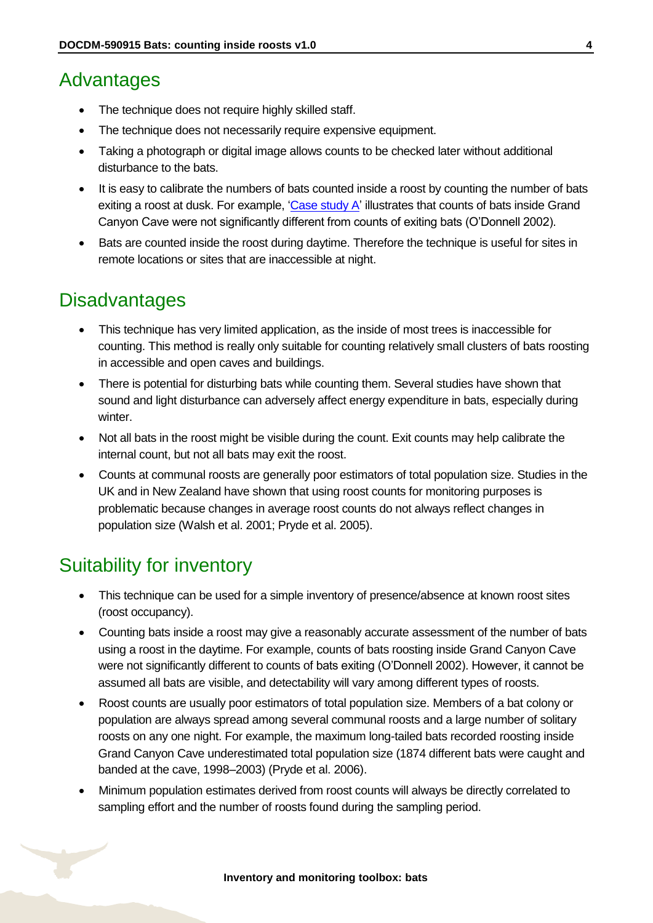# <span id="page-3-0"></span>Advantages

- The technique does not require highly skilled staff.
- The technique does not necessarily require expensive equipment.
- Taking a photograph or digital image allows counts to be checked later without additional disturbance to the bats.
- It is easy to calibrate the numbers of bats counted inside a roost by counting the number of bats exiting a roost at dusk. For example, ['Case study A'](#page-9-0) illustrates that counts of bats inside Grand Canyon Cave were not significantly different from counts of exiting bats (O'Donnell 2002).
- Bats are counted inside the roost during daytime. Therefore the technique is useful for sites in remote locations or sites that are inaccessible at night.

# <span id="page-3-1"></span>**Disadvantages**

- This technique has very limited application, as the inside of most trees is inaccessible for counting. This method is really only suitable for counting relatively small clusters of bats roosting in accessible and open caves and buildings.
- There is potential for disturbing bats while counting them. Several studies have shown that sound and light disturbance can adversely affect energy expenditure in bats, especially during winter.
- Not all bats in the roost might be visible during the count. Exit counts may help calibrate the internal count, but not all bats may exit the roost.
- Counts at communal roosts are generally poor estimators of total population size. Studies in the UK and in New Zealand have shown that using roost counts for monitoring purposes is problematic because changes in average roost counts do not always reflect changes in population size (Walsh et al. 2001; Pryde et al. 2005).

# <span id="page-3-2"></span>Suitability for inventory

- This technique can be used for a simple inventory of presence/absence at known roost sites (roost occupancy).
- Counting bats inside a roost may give a reasonably accurate assessment of the number of bats using a roost in the daytime. For example, counts of bats roosting inside Grand Canyon Cave were not significantly different to counts of bats exiting (O'Donnell 2002). However, it cannot be assumed all bats are visible, and detectability will vary among different types of roosts.
- Roost counts are usually poor estimators of total population size. Members of a bat colony or population are always spread among several communal roosts and a large number of solitary roosts on any one night. For example, the maximum long-tailed bats recorded roosting inside Grand Canyon Cave underestimated total population size (1874 different bats were caught and banded at the cave, 1998–2003) (Pryde et al. 2006).
- Minimum population estimates derived from roost counts will always be directly correlated to sampling effort and the number of roosts found during the sampling period.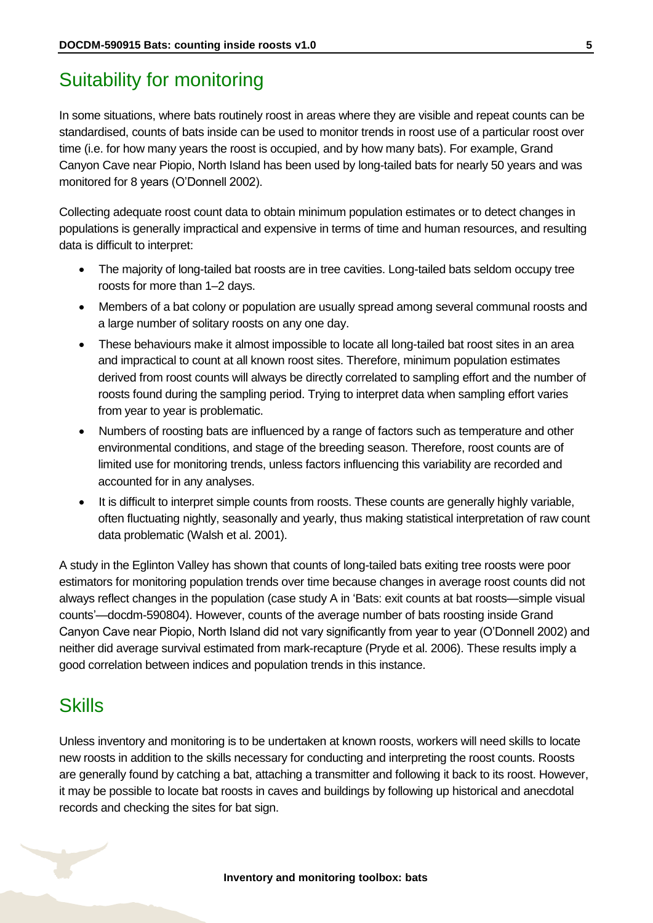# <span id="page-4-0"></span>Suitability for monitoring

In some situations, where bats routinely roost in areas where they are visible and repeat counts can be standardised, counts of bats inside can be used to monitor trends in roost use of a particular roost over time (i.e. for how many years the roost is occupied, and by how many bats). For example, Grand Canyon Cave near Piopio, North Island has been used by long-tailed bats for nearly 50 years and was monitored for 8 years (O'Donnell 2002).

Collecting adequate roost count data to obtain minimum population estimates or to detect changes in populations is generally impractical and expensive in terms of time and human resources, and resulting data is difficult to interpret:

- The majority of long-tailed bat roosts are in tree cavities. Long-tailed bats seldom occupy tree roosts for more than 1–2 days.
- Members of a bat colony or population are usually spread among several communal roosts and a large number of solitary roosts on any one day.
- These behaviours make it almost impossible to locate all long-tailed bat roost sites in an area and impractical to count at all known roost sites. Therefore, minimum population estimates derived from roost counts will always be directly correlated to sampling effort and the number of roosts found during the sampling period. Trying to interpret data when sampling effort varies from year to year is problematic.
- Numbers of roosting bats are influenced by a range of factors such as temperature and other environmental conditions, and stage of the breeding season. Therefore, roost counts are of limited use for monitoring trends, unless factors influencing this variability are recorded and accounted for in any analyses.
- It is difficult to interpret simple counts from roosts. These counts are generally highly variable, often fluctuating nightly, seasonally and yearly, thus making statistical interpretation of raw count data problematic (Walsh et al. 2001).

A study in the Eglinton Valley has shown that counts of long-tailed bats exiting tree roosts were poor estimators for monitoring population trends over time because changes in average roost counts did not always reflect changes in the population (case study A in 'Bats: exit counts at bat roosts—simple visual counts'—docdm-590804). However, counts of the average number of bats roosting inside Grand Canyon Cave near Piopio, North Island did not vary significantly from year to year (O'Donnell 2002) and neither did average survival estimated from mark-recapture (Pryde et al. 2006). These results imply a good correlation between indices and population trends in this instance.

# <span id="page-4-1"></span>**Skills**

Unless inventory and monitoring is to be undertaken at known roosts, workers will need skills to locate new roosts in addition to the skills necessary for conducting and interpreting the roost counts. Roosts are generally found by catching a bat, attaching a transmitter and following it back to its roost. However, it may be possible to locate bat roosts in caves and buildings by following up historical and anecdotal records and checking the sites for bat sign.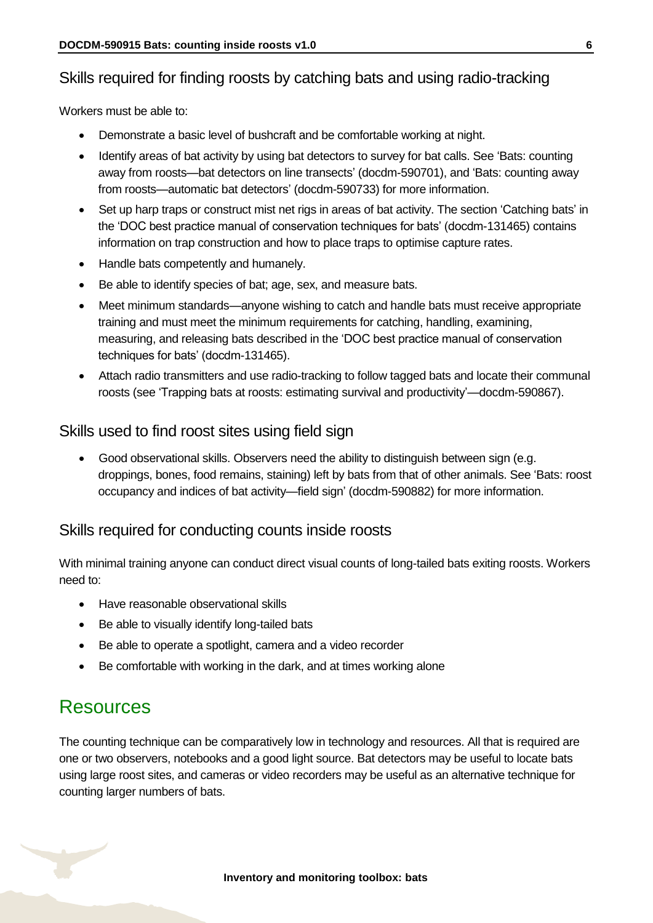## Skills required for finding roosts by catching bats and using radio-tracking

Workers must be able to:

- Demonstrate a basic level of bushcraft and be comfortable working at night.
- Identify areas of bat activity by using bat detectors to survey for bat calls. See 'Bats: counting away from roosts—bat detectors on line transects' (docdm-590701), and 'Bats: counting away from roosts—automatic bat detectors' (docdm-590733) for more information.
- Set up harp traps or construct mist net rigs in areas of bat activity. The section 'Catching bats' in the 'DOC best practice manual of conservation techniques for bats' (docdm-131465) contains information on trap construction and how to place traps to optimise capture rates.
- Handle bats competently and humanely.
- Be able to identify species of bat; age, sex, and measure bats.
- Meet minimum standards—anyone wishing to catch and handle bats must receive appropriate training and must meet the minimum requirements for catching, handling, examining, measuring, and releasing bats described in the 'DOC best practice manual of conservation techniques for bats' (docdm-131465).
- Attach radio transmitters and use radio-tracking to follow tagged bats and locate their communal roosts (see 'Trapping bats at roosts: estimating survival and productivity'—docdm-590867).

#### Skills used to find roost sites using field sign

 Good observational skills. Observers need the ability to distinguish between sign (e.g. droppings, bones, food remains, staining) left by bats from that of other animals. See 'Bats: roost occupancy and indices of bat activity—field sign' (docdm-590882) for more information.

#### Skills required for conducting counts inside roosts

With minimal training anyone can conduct direct visual counts of long-tailed bats exiting roosts. Workers need to:

- Have reasonable observational skills
- Be able to visually identify long-tailed bats
- Be able to operate a spotlight, camera and a video recorder
- Be comfortable with working in the dark, and at times working alone

# <span id="page-5-0"></span>Resources

The counting technique can be comparatively low in technology and resources. All that is required are one or two observers, notebooks and a good light source. Bat detectors may be useful to locate bats using large roost sites, and cameras or video recorders may be useful as an alternative technique for counting larger numbers of bats.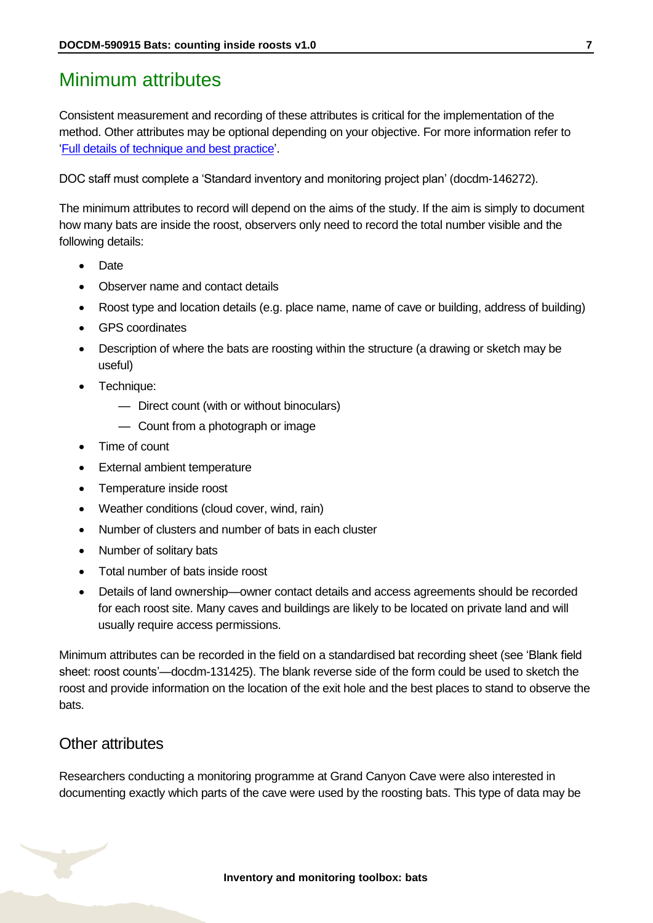# <span id="page-6-0"></span>Minimum attributes

Consistent measurement and recording of these attributes is critical for the implementation of the method. Other attributes may be optional depending on your objective. For more information refer to ['Full details of technique and best practice'](#page-11-0).

DOC staff must complete a 'Standard inventory and monitoring project plan' (docdm-146272).

The minimum attributes to record will depend on the aims of the study. If the aim is simply to document how many bats are inside the roost, observers only need to record the total number visible and the following details:

- **Date**
- Observer name and contact details
- Roost type and location details (e.g. place name, name of cave or building, address of building)
- GPS coordinates
- Description of where the bats are roosting within the structure (a drawing or sketch may be useful)
- Technique:
	- Direct count (with or without binoculars)
	- Count from a photograph or image
- Time of count
- External ambient temperature
- Temperature inside roost
- Weather conditions (cloud cover, wind, rain)
- Number of clusters and number of bats in each cluster
- Number of solitary bats
- Total number of bats inside roost
- Details of land ownership—owner contact details and access agreements should be recorded for each roost site. Many caves and buildings are likely to be located on private land and will usually require access permissions.

Minimum attributes can be recorded in the field on a standardised bat recording sheet (see 'Blank field sheet: roost counts'—docdm-131425). The blank reverse side of the form could be used to sketch the roost and provide information on the location of the exit hole and the best places to stand to observe the bats.

#### Other attributes

Researchers conducting a monitoring programme at Grand Canyon Cave were also interested in documenting exactly which parts of the cave were used by the roosting bats. This type of data may be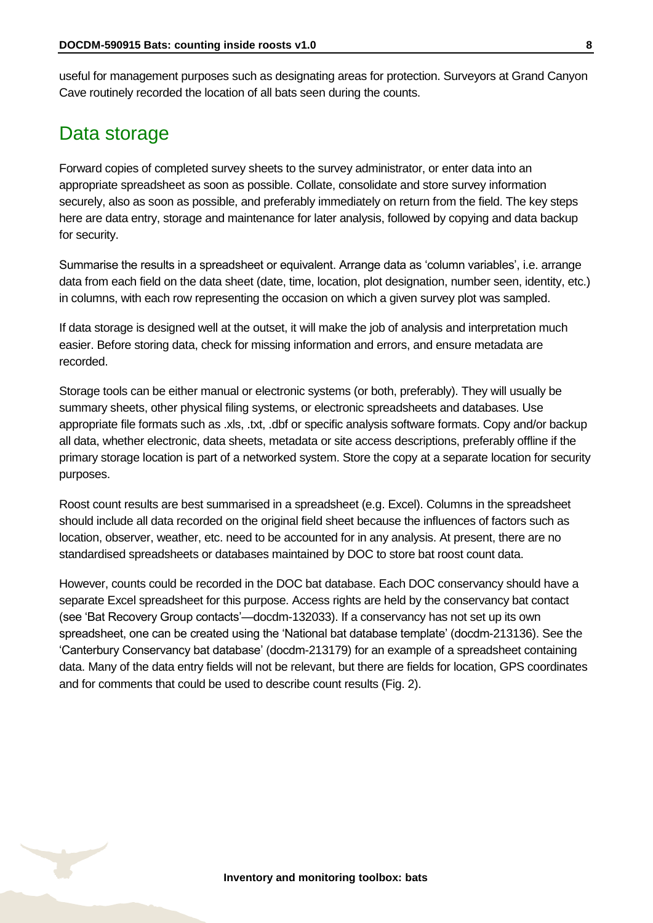useful for management purposes such as designating areas for protection. Surveyors at Grand Canyon Cave routinely recorded the location of all bats seen during the counts.

## <span id="page-7-0"></span>Data storage

Forward copies of completed survey sheets to the survey administrator, or enter data into an appropriate spreadsheet as soon as possible. Collate, consolidate and store survey information securely, also as soon as possible, and preferably immediately on return from the field. The key steps here are data entry, storage and maintenance for later analysis, followed by copying and data backup for security.

Summarise the results in a spreadsheet or equivalent. Arrange data as 'column variables', i.e. arrange data from each field on the data sheet (date, time, location, plot designation, number seen, identity, etc.) in columns, with each row representing the occasion on which a given survey plot was sampled.

If data storage is designed well at the outset, it will make the job of analysis and interpretation much easier. Before storing data, check for missing information and errors, and ensure metadata are recorded.

Storage tools can be either manual or electronic systems (or both, preferably). They will usually be summary sheets, other physical filing systems, or electronic spreadsheets and databases. Use appropriate file formats such as .xls, .txt, .dbf or specific analysis software formats. Copy and/or backup all data, whether electronic, data sheets, metadata or site access descriptions, preferably offline if the primary storage location is part of a networked system. Store the copy at a separate location for security purposes.

Roost count results are best summarised in a spreadsheet (e.g. Excel). Columns in the spreadsheet should include all data recorded on the original field sheet because the influences of factors such as location, observer, weather, etc. need to be accounted for in any analysis. At present, there are no standardised spreadsheets or databases maintained by DOC to store bat roost count data.

However, counts could be recorded in the DOC bat database. Each DOC conservancy should have a separate Excel spreadsheet for this purpose. Access rights are held by the conservancy bat contact (see 'Bat Recovery Group contacts'—docdm-132033). If a conservancy has not set up its own spreadsheet, one can be created using the 'National bat database template' (docdm-213136). See the 'Canterbury Conservancy bat database' (docdm-213179) for an example of a spreadsheet containing data. Many of the data entry fields will not be relevant, but there are fields for location, GPS coordinates and for comments that could be used to describe count results (Fig. 2).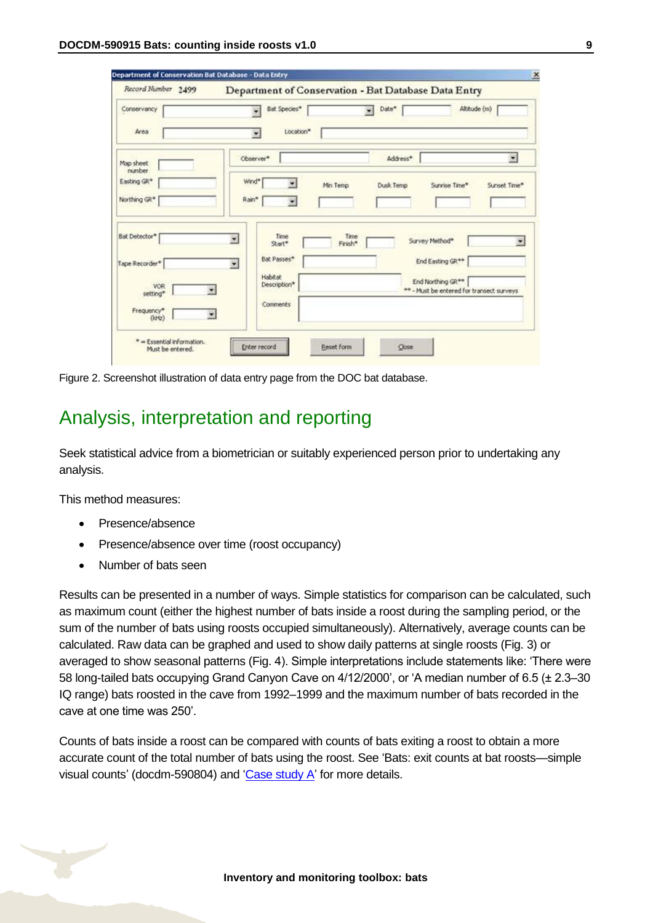| Record Humber 2499      |                                  | Department of Conservation - Bat Database Data Entry |                                                                            |
|-------------------------|----------------------------------|------------------------------------------------------|----------------------------------------------------------------------------|
| Conservancy             | Bat Species*                     | Date*<br>٠                                           | Altitude (m)                                                               |
| Area                    | Location*<br>×                   |                                                      |                                                                            |
| Map sheet               | Observer*                        | Address*                                             | ×                                                                          |
| number<br>Easting GR*   | Wind*                            | Min Temp<br>Dusk Temp                                | Sunset Time*<br>Sunrise Time*                                              |
| Northing GR*            | Rain*<br>$\overline{\mathbf{r}}$ |                                                      |                                                                            |
| <b>Bat Detector*</b>    | Time<br>×<br>Start*              | Time<br>Survey Method*<br>Finish*                    |                                                                            |
| Tape Recorder*          | Bat Passes*<br>۰                 |                                                      | End Easting GR**                                                           |
| VOR<br>setting*         | Habitat<br>Description*          |                                                      | End Northing GR <sup>**</sup><br>** - Must be entered for transect surveys |
| Frequency*<br>$(k + 2)$ | Comments                         |                                                      |                                                                            |

Figure 2. Screenshot illustration of data entry page from the DOC bat database.

## <span id="page-8-0"></span>Analysis, interpretation and reporting

Seek statistical advice from a biometrician or suitably experienced person prior to undertaking any analysis.

This method measures:

- Presence/absence
- Presence/absence over time (roost occupancy)
- Number of bats seen

Results can be presented in a number of ways. Simple statistics for comparison can be calculated, such as maximum count (either the highest number of bats inside a roost during the sampling period, or the sum of the number of bats using roosts occupied simultaneously). Alternatively, average counts can be calculated. Raw data can be graphed and used to show daily patterns at single roosts (Fig. 3) or averaged to show seasonal patterns (Fig. 4). Simple interpretations include statements like: 'There were 58 long-tailed bats occupying Grand Canyon Cave on 4/12/2000', or 'A median number of 6.5 (± 2.3–30 IQ range) bats roosted in the cave from 1992–1999 and the maximum number of bats recorded in the cave at one time was 250'.

Counts of bats inside a roost can be compared with counts of bats exiting a roost to obtain a more accurate count of the total number of bats using the roost. See 'Bats: exit counts at bat roosts—simple visual counts' (docdm-590804) and ['Case study A'](#page-9-0) for more details.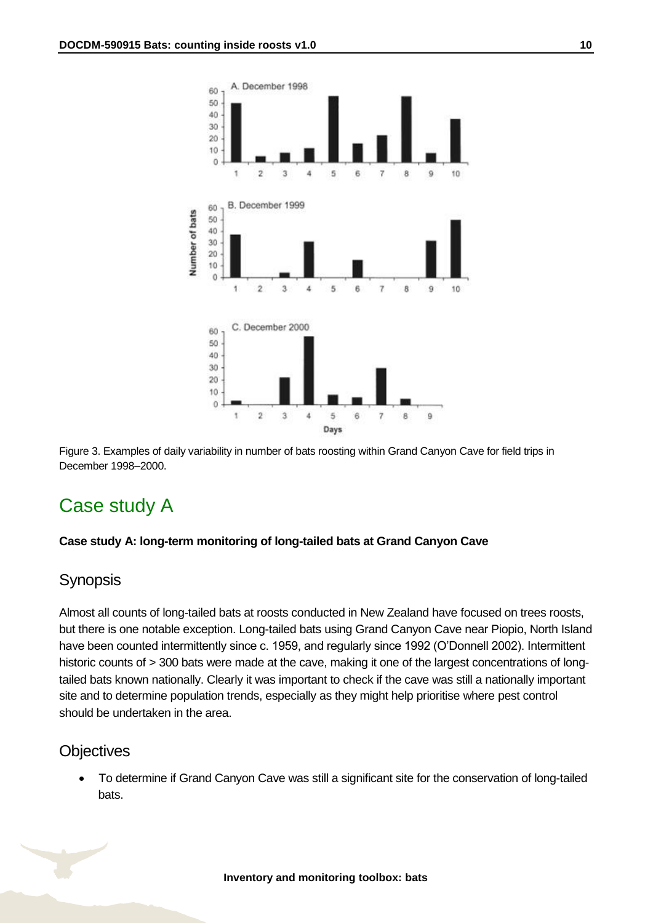

Figure 3. Examples of daily variability in number of bats roosting within Grand Canyon Cave for field trips in December 1998–2000.

# <span id="page-9-0"></span>Case study A

#### **Case study A: long-term monitoring of long-tailed bats at Grand Canyon Cave**

#### Synopsis

Almost all counts of long-tailed bats at roosts conducted in New Zealand have focused on trees roosts, but there is one notable exception. Long-tailed bats using Grand Canyon Cave near Piopio, North Island have been counted intermittently since c. 1959, and regularly since 1992 (O'Donnell 2002). Intermittent historic counts of > 300 bats were made at the cave, making it one of the largest concentrations of longtailed bats known nationally. Clearly it was important to check if the cave was still a nationally important site and to determine population trends, especially as they might help prioritise where pest control should be undertaken in the area.

#### **Objectives**

 To determine if Grand Canyon Cave was still a significant site for the conservation of long-tailed bats.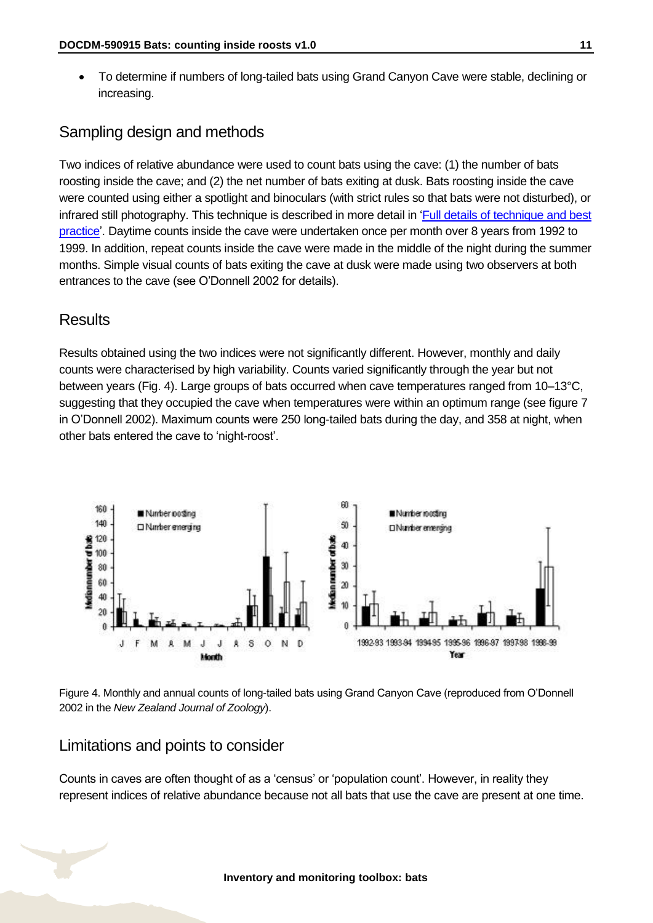To determine if numbers of long-tailed bats using Grand Canyon Cave were stable, declining or increasing.

## Sampling design and methods

Two indices of relative abundance were used to count bats using the cave: (1) the number of bats roosting inside the cave; and (2) the net number of bats exiting at dusk. Bats roosting inside the cave were counted using either a spotlight and binoculars (with strict rules so that bats were not disturbed), or infrared still photography. This technique is described in more detail in ['Full details of technique and best](#page-11-0)  [practice'](#page-11-0). Daytime counts inside the cave were undertaken once per month over 8 years from 1992 to 1999. In addition, repeat counts inside the cave were made in the middle of the night during the summer months. Simple visual counts of bats exiting the cave at dusk were made using two observers at both entrances to the cave (see O'Donnell 2002 for details).

## **Results**

Results obtained using the two indices were not significantly different. However, monthly and daily counts were characterised by high variability. Counts varied significantly through the year but not between years (Fig. 4). Large groups of bats occurred when cave temperatures ranged from 10–13°C, suggesting that they occupied the cave when temperatures were within an optimum range (see figure 7 in O'Donnell 2002). Maximum counts were 250 long-tailed bats during the day, and 358 at night, when other bats entered the cave to 'night-roost'.



Figure 4. Monthly and annual counts of long-tailed bats using Grand Canyon Cave (reproduced from O'Donnell 2002 in the *New Zealand Journal of Zoology*).

#### Limitations and points to consider

Counts in caves are often thought of as a 'census' or 'population count'. However, in reality they represent indices of relative abundance because not all bats that use the cave are present at one time.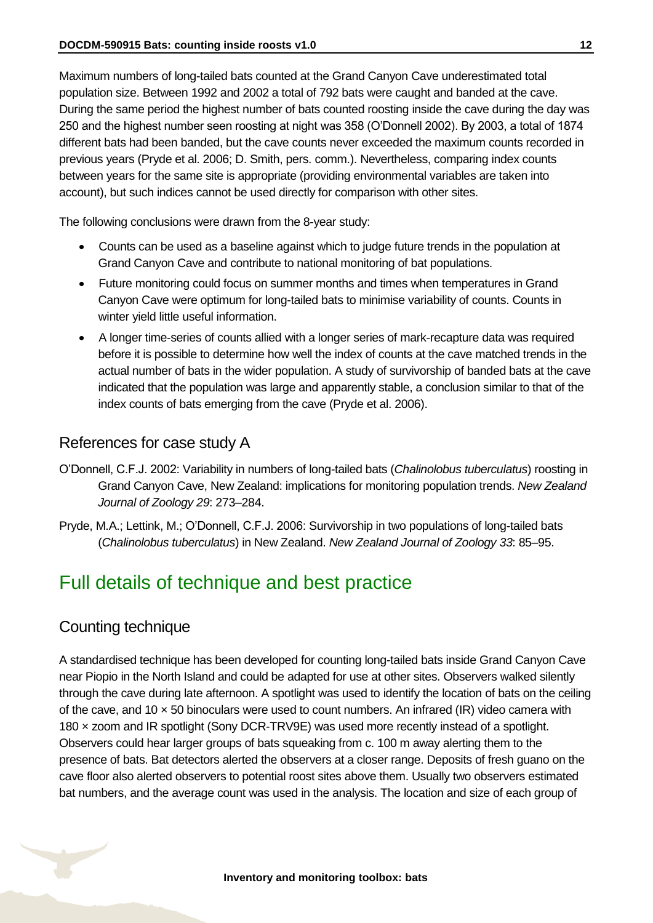Maximum numbers of long-tailed bats counted at the Grand Canyon Cave underestimated total population size. Between 1992 and 2002 a total of 792 bats were caught and banded at the cave. During the same period the highest number of bats counted roosting inside the cave during the day was 250 and the highest number seen roosting at night was 358 (O'Donnell 2002). By 2003, a total of 1874 different bats had been banded, but the cave counts never exceeded the maximum counts recorded in previous years (Pryde et al. 2006; D. Smith, pers. comm.). Nevertheless, comparing index counts between years for the same site is appropriate (providing environmental variables are taken into account), but such indices cannot be used directly for comparison with other sites.

The following conclusions were drawn from the 8-year study:

- Counts can be used as a baseline against which to judge future trends in the population at Grand Canyon Cave and contribute to national monitoring of bat populations.
- Future monitoring could focus on summer months and times when temperatures in Grand Canyon Cave were optimum for long-tailed bats to minimise variability of counts. Counts in winter yield little useful information.
- A longer time-series of counts allied with a longer series of mark-recapture data was required before it is possible to determine how well the index of counts at the cave matched trends in the actual number of bats in the wider population. A study of survivorship of banded bats at the cave indicated that the population was large and apparently stable, a conclusion similar to that of the index counts of bats emerging from the cave (Pryde et al. 2006).

#### References for case study A

- O'Donnell, C.F.J. 2002: Variability in numbers of long-tailed bats (*Chalinolobus tuberculatus*) roosting in Grand Canyon Cave, New Zealand: implications for monitoring population trends. *New Zealand Journal of Zoology 29*: 273–284.
- Pryde, M.A.; Lettink, M.; O'Donnell, C.F.J. 2006: Survivorship in two populations of long-tailed bats (*Chalinolobus tuberculatus*) in New Zealand. *New Zealand Journal of Zoology 33*: 85–95.

# <span id="page-11-0"></span>Full details of technique and best practice

#### Counting technique

A standardised technique has been developed for counting long-tailed bats inside Grand Canyon Cave near Piopio in the North Island and could be adapted for use at other sites. Observers walked silently through the cave during late afternoon. A spotlight was used to identify the location of bats on the ceiling of the cave, and 10  $\times$  50 binoculars were used to count numbers. An infrared (IR) video camera with 180 × zoom and IR spotlight (Sony DCR-TRV9E) was used more recently instead of a spotlight. Observers could hear larger groups of bats squeaking from c. 100 m away alerting them to the presence of bats. Bat detectors alerted the observers at a closer range. Deposits of fresh guano on the cave floor also alerted observers to potential roost sites above them. Usually two observers estimated bat numbers, and the average count was used in the analysis. The location and size of each group of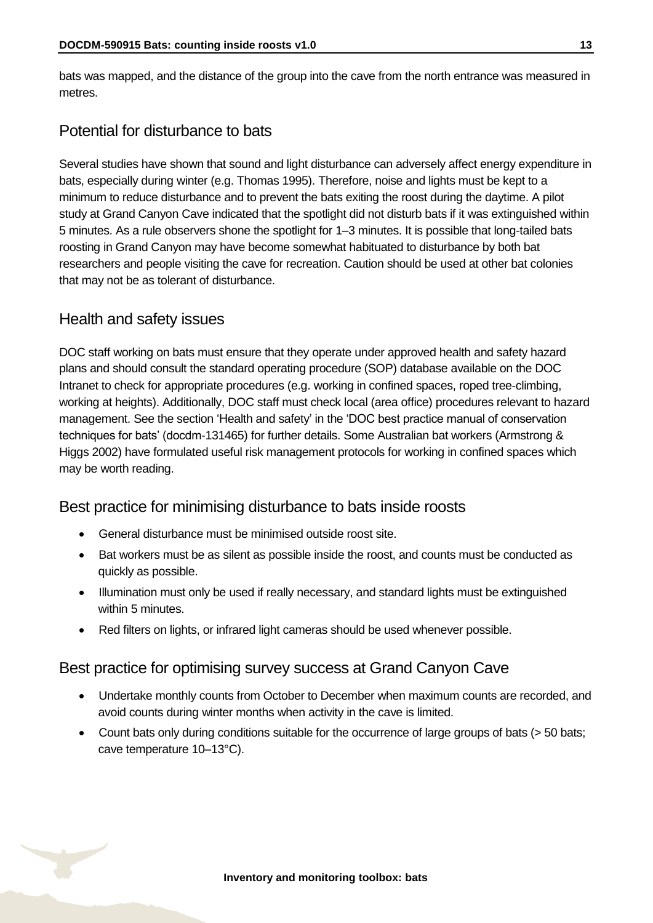bats was mapped, and the distance of the group into the cave from the north entrance was measured in metres.

## Potential for disturbance to bats

Several studies have shown that sound and light disturbance can adversely affect energy expenditure in bats, especially during winter (e.g. Thomas 1995). Therefore, noise and lights must be kept to a minimum to reduce disturbance and to prevent the bats exiting the roost during the daytime. A pilot study at Grand Canyon Cave indicated that the spotlight did not disturb bats if it was extinguished within 5 minutes. As a rule observers shone the spotlight for 1–3 minutes. It is possible that long-tailed bats roosting in Grand Canyon may have become somewhat habituated to disturbance by both bat researchers and people visiting the cave for recreation. Caution should be used at other bat colonies that may not be as tolerant of disturbance.

#### Health and safety issues

DOC staff working on bats must ensure that they operate under approved health and safety hazard plans and should consult the standard operating procedure (SOP) database available on the DOC Intranet to check for appropriate procedures (e.g. working in confined spaces, roped tree-climbing, working at heights). Additionally, DOC staff must check local (area office) procedures relevant to hazard management. See the section 'Health and safety' in the 'DOC best practice manual of conservation techniques for bats' (docdm-131465) for further details. Some Australian bat workers (Armstrong & Higgs 2002) have formulated useful risk management protocols for working in confined spaces which may be worth reading.

#### Best practice for minimising disturbance to bats inside roosts

- General disturbance must be minimised outside roost site.
- Bat workers must be as silent as possible inside the roost, and counts must be conducted as quickly as possible.
- Illumination must only be used if really necessary, and standard lights must be extinguished within 5 minutes.
- Red filters on lights, or infrared light cameras should be used whenever possible.

#### Best practice for optimising survey success at Grand Canyon Cave

- Undertake monthly counts from October to December when maximum counts are recorded, and avoid counts during winter months when activity in the cave is limited.
- Count bats only during conditions suitable for the occurrence of large groups of bats (> 50 bats; cave temperature 10–13°C).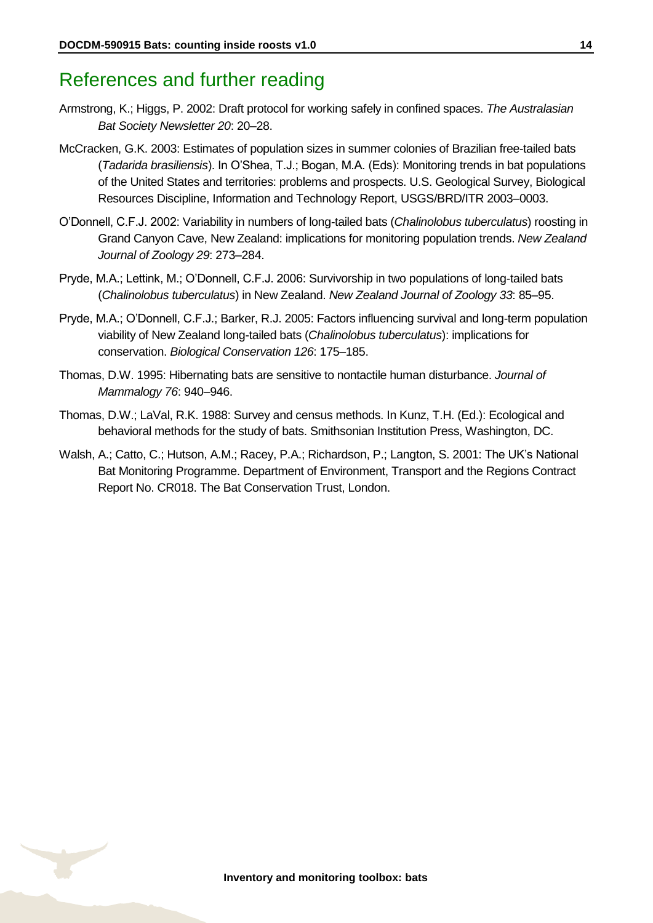# <span id="page-13-0"></span>References and further reading

- Armstrong, K.; Higgs, P. 2002: Draft protocol for working safely in confined spaces. *The Australasian Bat Society Newsletter 20*: 20–28.
- McCracken, G.K. 2003: Estimates of population sizes in summer colonies of Brazilian free-tailed bats (*Tadarida brasiliensis*). In O'Shea, T.J.; Bogan, M.A. (Eds): Monitoring trends in bat populations of the United States and territories: problems and prospects. U.S. Geological Survey, Biological Resources Discipline, Information and Technology Report, USGS/BRD/ITR 2003–0003.
- O'Donnell, C.F.J. 2002: Variability in numbers of long-tailed bats (*Chalinolobus tuberculatus*) roosting in Grand Canyon Cave, New Zealand: implications for monitoring population trends. *New Zealand Journal of Zoology 29*: 273–284.
- Pryde, M.A.; Lettink, M.; O'Donnell, C.F.J. 2006: Survivorship in two populations of long-tailed bats (*Chalinolobus tuberculatus*) in New Zealand. *New Zealand Journal of Zoology 33*: 85–95.
- Pryde, M.A.; O'Donnell, C.F.J.; Barker, R.J. 2005: Factors influencing survival and long-term population viability of New Zealand long-tailed bats (*Chalinolobus tuberculatus*): implications for conservation. *Biological Conservation 126*: 175–185.
- Thomas, D.W. 1995: Hibernating bats are sensitive to nontactile human disturbance. *Journal of Mammalogy 76*: 940–946.
- Thomas, D.W.; LaVal, R.K. 1988: Survey and census methods. In Kunz, T.H. (Ed.): Ecological and behavioral methods for the study of bats. Smithsonian Institution Press, Washington, DC.
- Walsh, A.; Catto, C.; Hutson, A.M.; Racey, P.A.; Richardson, P.; Langton, S. 2001: The UK's National Bat Monitoring Programme. Department of Environment, Transport and the Regions Contract Report No. CR018. The Bat Conservation Trust, London.